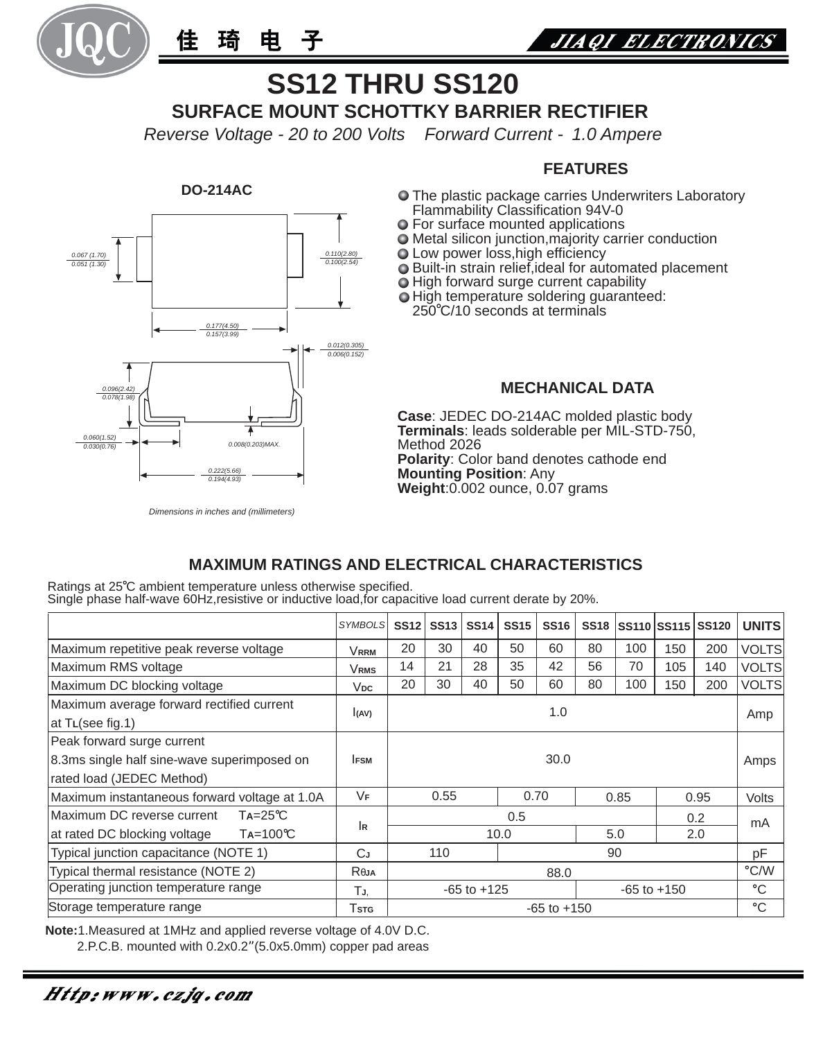

琦 仹 电



# **SS12 THRU SS120**

**SURFACE MOUNT SCHOTTKY BARRIER RECTIFIER**

*Reverse Voltage - 20 to 200 Volts Forward Current - 1.0 Ampere*

#### **DO-214AC**



#### *Dimensions in inches and (millimeters)*

#### **FEATURES**

- O The plastic package carries Underwriters Laboratory Flammability Classification 94V-0
- For surface mounted applications
- Metal silicon junction,majority carrier conduction
- Low power loss, high efficiency
- **○** Built-in strain relief, ideal for automated placement
- $\bigcirc$  High forward surge current capability
- $\bullet$  High temperature soldering quaranteed:

250 C/10 seconds at terminals

#### **MECHANICAL DATA**

**Case**: JEDEC DO-214AC molded plastic body **Terminals**: leads solderable per MIL-STD-750, Method 2026 **Polarity**: Color band denotes cathode end **Mounting Position**: Any **Weight**:0.002 ounce, 0.07 grams

### **MAXIMUM RATINGS AND ELECTRICAL CHARACTERISTICS**

Ratings at 25°C ambient temperature unless otherwise specified. Single phase half-wave 60Hz,resistive or inductive load,for capacitive load current derate by 20%.

|                                                   | <b>SYMBOLS</b>   | <b>SS12</b>                        | <b>SS13</b> | <b>SS14</b> | <b>SS15</b> | <b>SS16</b> |    |             | SS18 SS110 SS115 SS120 |              | <b>UNITS</b>  |
|---------------------------------------------------|------------------|------------------------------------|-------------|-------------|-------------|-------------|----|-------------|------------------------|--------------|---------------|
| Maximum repetitive peak reverse voltage           | <b>VRRM</b>      | 20                                 | 30          | 40          | 50          | 60          | 80 | 100         | 150                    | 200          | <b>VOLTS</b>  |
| Maximum RMS voltage                               | VRMS             | 14                                 | 21          | 28          | 35          | 42          | 56 | 70          | 105                    | 140          | <b>VOLTS</b>  |
| Maximum DC blocking voltage                       | V <sub>DC</sub>  | 20                                 | 30          | 40          | 50          | 60          | 80 | 100         | 150                    | 200          | <b>VOLTS</b>  |
| Maximum average forward rectified current         | I(AV)            | 1.0                                |             |             |             |             |    |             |                        |              | Amp           |
| at TL(see fig.1)                                  |                  |                                    |             |             |             |             |    |             |                        |              |               |
| Peak forward surge current                        |                  |                                    |             |             |             |             |    |             |                        |              |               |
| 8.3ms single half sine-wave superimposed on       | <b>IFSM</b>      | 30.0                               |             |             |             |             |    |             |                        |              | Amps          |
| rated load (JEDEC Method)                         |                  |                                    |             |             |             |             |    |             |                        |              |               |
| Maximum instantaneous forward voltage at 1.0A     | VF               | 0.55                               |             | 0.70        |             | 0.85        |    | 0.95        |                        | <b>Volts</b> |               |
| Maximum DC reverse current<br>$Ta = 25^{\circ}C$  |                  | 0.5                                |             |             |             |             |    |             |                        | 0.2          | mA            |
| $Ta=100^{\circ}C$<br>at rated DC blocking voltage | lĸ               | 10.0                               |             |             |             | 5.0         |    | 2.0         |                        |              |               |
| Typical junction capacitance (NOTE 1)             | СJ               | 110                                |             |             |             | 90          |    |             |                        | pF           |               |
| Typical thermal resistance (NOTE 2)               | R <sub>θJA</sub> | 88.0                               |             |             |             |             |    |             |                        |              | $\degree$ C/W |
| Operating junction temperature range              | TJ.              | $-65$ to $+125$<br>$-65$ to $+150$ |             |             |             |             |    | $^{\circ}C$ |                        |              |               |
| Storage temperature range                         | Tstg             | $-65$ to $+150$                    |             |             |             |             |    |             |                        | $^{\circ}C$  |               |

**Note:**1.Measured at 1MHz and applied reverse voltage of 4.0V D.C.

2.P.C.B. mounted with 0.2x0.2"(5.0x5.0mm) copper pad areas